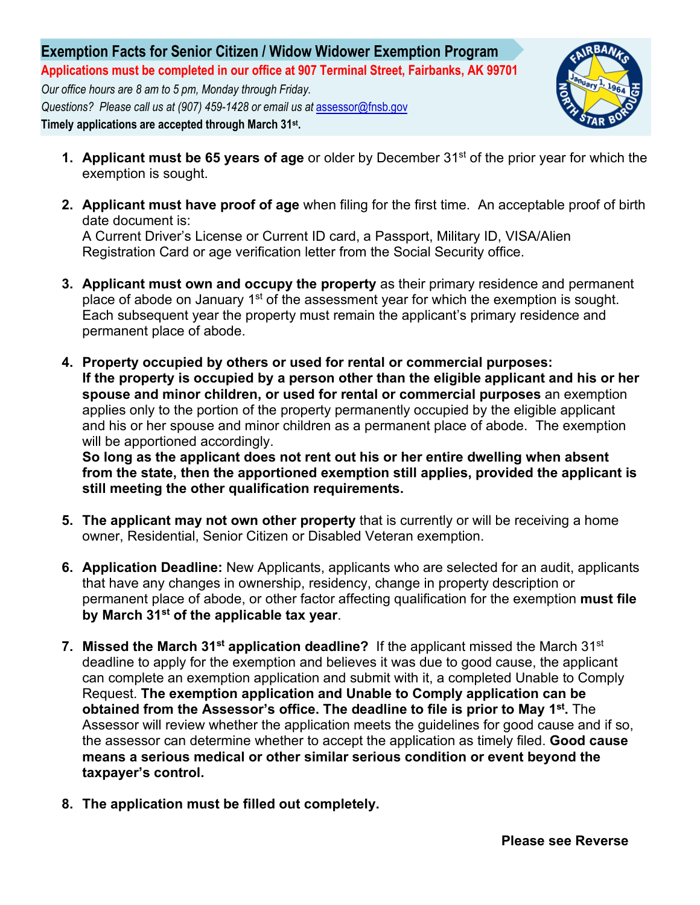

- **1. Applicant must be 65 years of age** or older by December 31<sup>st</sup> of the prior year for which the exemption is sought.
- **2. Applicant must have proof of age** when filing for the first time. An acceptable proof of birth date document is:

A Current Driver's License or Current ID card, a Passport, Military ID, VISA/Alien Registration Card or age verification letter from the Social Security office.

- **3. Applicant must own and occupy the property** as their primary residence and permanent place of abode on January 1<sup>st</sup> of the assessment year for which the exemption is sought. Each subsequent year the property must remain the applicant's primary residence and permanent place of abode.
- **4. Property occupied by others or used for rental or commercial purposes: If the property is occupied by a person other than the eligible applicant and his or her spouse and minor children, or used for rental or commercial purposes** an exemption applies only to the portion of the property permanently occupied by the eligible applicant and his or her spouse and minor children as a permanent place of abode. The exemption will be apportioned accordingly.

**So long as the applicant does not rent out his or her entire dwelling when absent from the state, then the apportioned exemption still applies, provided the applicant is still meeting the other qualification requirements.**

- **5. The applicant may not own other property** that is currently or will be receiving a home owner, Residential, Senior Citizen or Disabled Veteran exemption.
- **6. Application Deadline:** New Applicants, applicants who are selected for an audit, applicants that have any changes in ownership, residency, change in property description or permanent place of abode, or other factor affecting qualification for the exemption **must file by March 31st of the applicable tax year**.
- **7. Missed the March 31<sup>st</sup> application deadline?** If the applicant missed the March 31<sup>st</sup> deadline to apply for the exemption and believes it was due to good cause, the applicant can complete an exemption application and submit with it, a completed Unable to Comply Request. **The exemption application and Unable to Comply application can be obtained from the Assessor's office. The deadline to file is prior to May 1st.** The Assessor will review whether the application meets the guidelines for good cause and if so, the assessor can determine whether to accept the application as timely filed. **Good cause means a serious medical or other similar serious condition or event beyond the taxpayer's control.**
- **8. The application must be filled out completely.**